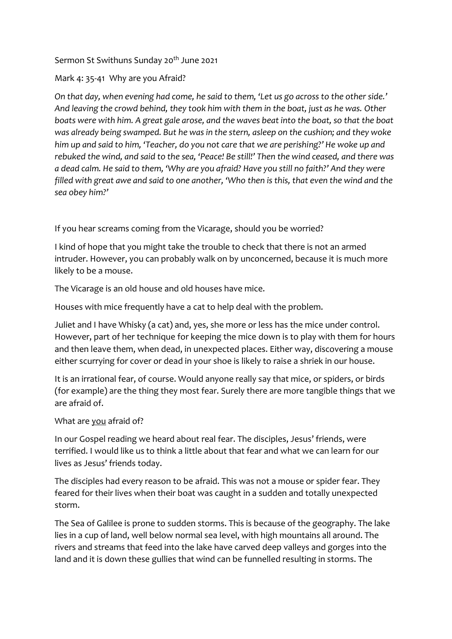## Sermon St Swithuns Sunday 20<sup>th</sup> June 2021

## Mark 4: 35-41 Why are you Afraid?

*On that day, when evening had come, he said to them, 'Let us go across to the other side.' And leaving the crowd behind, they took him with them in the boat, just as he was. Other boats were with him. A great gale arose, and the waves beat into the boat, so that the boat was already being swamped. But he was in the stern, asleep on the cushion; and they woke him up and said to him, 'Teacher, do you not care that we are perishing?' He woke up and rebuked the wind, and said to the sea, 'Peace! Be still!' Then the wind ceased, and there was a dead calm. He said to them, 'Why are you afraid? Have you still no faith?' And they were filled with great awe and said to one another, 'Who then is this, that even the wind and the sea obey him?'*

If you hear screams coming from the Vicarage, should you be worried?

I kind of hope that you might take the trouble to check that there is not an armed intruder. However, you can probably walk on by unconcerned, because it is much more likely to be a mouse.

The Vicarage is an old house and old houses have mice.

Houses with mice frequently have a cat to help deal with the problem.

Juliet and I have Whisky (a cat) and, yes, she more or less has the mice under control. However, part of her technique for keeping the mice down is to play with them for hours and then leave them, when dead, in unexpected places. Either way, discovering a mouse either scurrying for cover or dead in your shoe is likely to raise a shriek in our house.

It is an irrational fear, of course. Would anyone really say that mice, or spiders, or birds (for example) are the thing they most fear. Surely there are more tangible things that we are afraid of.

## What are you afraid of?

In our Gospel reading we heard about real fear. The disciples, Jesus' friends, were terrified. I would like us to think a little about that fear and what we can learn for our lives as Jesus' friends today.

The disciples had every reason to be afraid. This was not a mouse or spider fear. They feared for their lives when their boat was caught in a sudden and totally unexpected storm.

The Sea of Galilee is prone to sudden storms. This is because of the geography. The lake lies in a cup of land, well below normal sea level, with high mountains all around. The rivers and streams that feed into the lake have carved deep valleys and gorges into the land and it is down these gullies that wind can be funnelled resulting in storms. The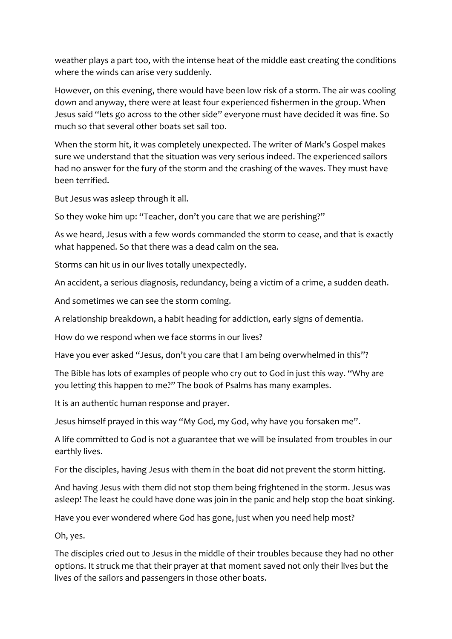weather plays a part too, with the intense heat of the middle east creating the conditions where the winds can arise very suddenly.

However, on this evening, there would have been low risk of a storm. The air was cooling down and anyway, there were at least four experienced fishermen in the group. When Jesus said "lets go across to the other side" everyone must have decided it was fine. So much so that several other boats set sail too.

When the storm hit, it was completely unexpected. The writer of Mark's Gospel makes sure we understand that the situation was very serious indeed. The experienced sailors had no answer for the fury of the storm and the crashing of the waves. They must have been terrified.

But Jesus was asleep through it all.

So they woke him up: "Teacher, don't you care that we are perishing?"

As we heard, Jesus with a few words commanded the storm to cease, and that is exactly what happened. So that there was a dead calm on the sea.

Storms can hit us in our lives totally unexpectedly.

An accident, a serious diagnosis, redundancy, being a victim of a crime, a sudden death.

And sometimes we can see the storm coming.

A relationship breakdown, a habit heading for addiction, early signs of dementia.

How do we respond when we face storms in our lives?

Have you ever asked "Jesus, don't you care that I am being overwhelmed in this"?

The Bible has lots of examples of people who cry out to God in just this way. "Why are you letting this happen to me?" The book of Psalms has many examples.

It is an authentic human response and prayer.

Jesus himself prayed in this way "My God, my God, why have you forsaken me".

A life committed to God is not a guarantee that we will be insulated from troubles in our earthly lives.

For the disciples, having Jesus with them in the boat did not prevent the storm hitting.

And having Jesus with them did not stop them being frightened in the storm. Jesus was asleep! The least he could have done was join in the panic and help stop the boat sinking.

Have you ever wondered where God has gone, just when you need help most?

Oh, yes.

The disciples cried out to Jesus in the middle of their troubles because they had no other options. It struck me that their prayer at that moment saved not only their lives but the lives of the sailors and passengers in those other boats.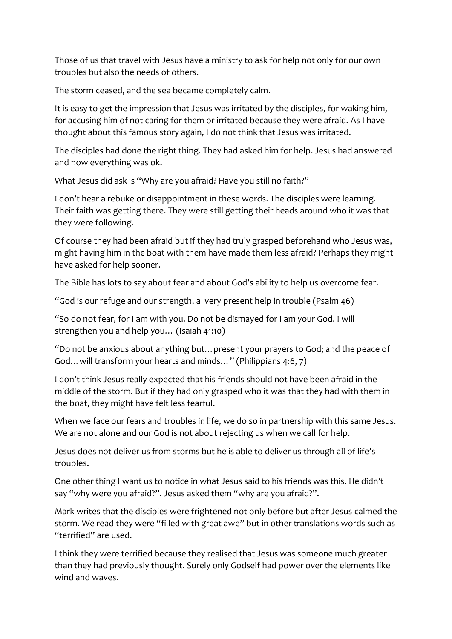Those of us that travel with Jesus have a ministry to ask for help not only for our own troubles but also the needs of others.

The storm ceased, and the sea became completely calm.

It is easy to get the impression that Jesus was irritated by the disciples, for waking him, for accusing him of not caring for them or irritated because they were afraid. As I have thought about this famous story again, I do not think that Jesus was irritated.

The disciples had done the right thing. They had asked him for help. Jesus had answered and now everything was ok.

What Jesus did ask is "Why are you afraid? Have you still no faith?"

I don't hear a rebuke or disappointment in these words. The disciples were learning. Their faith was getting there. They were still getting their heads around who it was that they were following.

Of course they had been afraid but if they had truly grasped beforehand who Jesus was, might having him in the boat with them have made them less afraid? Perhaps they might have asked for help sooner.

The Bible has lots to say about fear and about God's ability to help us overcome fear.

"God is our refuge and our strength, a very present help in trouble (Psalm 46)

"So do not fear, for I am with you. Do not be dismayed for I am your God. I will strengthen you and help you… (Isaiah 41:10)

"Do not be anxious about anything but…present your prayers to God; and the peace of God…will transform your hearts and minds…" (Philippians 4:6, 7)

I don't think Jesus really expected that his friends should not have been afraid in the middle of the storm. But if they had only grasped who it was that they had with them in the boat, they might have felt less fearful.

When we face our fears and troubles in life, we do so in partnership with this same Jesus. We are not alone and our God is not about rejecting us when we call for help.

Jesus does not deliver us from storms but he is able to deliver us through all of life's troubles.

One other thing I want us to notice in what Jesus said to his friends was this. He didn't say "why were you afraid?". Jesus asked them "why are you afraid?".

Mark writes that the disciples were frightened not only before but after Jesus calmed the storm. We read they were "filled with great awe" but in other translations words such as "terrified" are used.

I think they were terrified because they realised that Jesus was someone much greater than they had previously thought. Surely only Godself had power over the elements like wind and waves.